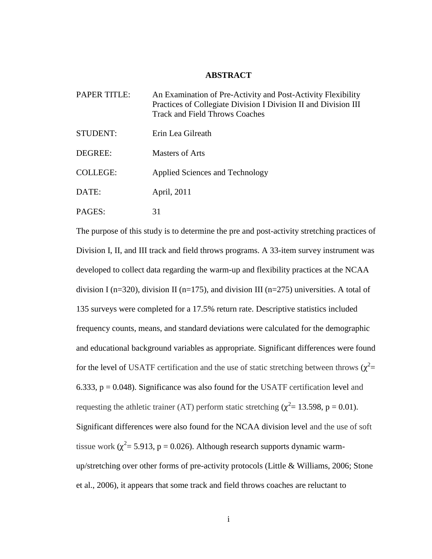## **ABSTRACT**

| <b>PAPER TITLE:</b> | An Examination of Pre-Activity and Post-Activity Flexibility<br>Practices of Collegiate Division I Division II and Division III<br><b>Track and Field Throws Coaches</b> |
|---------------------|--------------------------------------------------------------------------------------------------------------------------------------------------------------------------|
| <b>STUDENT:</b>     | Erin Lea Gilreath                                                                                                                                                        |
| DEGREE:             | <b>Masters of Arts</b>                                                                                                                                                   |
| <b>COLLEGE:</b>     | Applied Sciences and Technology                                                                                                                                          |
| DATE:               | April, 2011                                                                                                                                                              |
| PAGES:              |                                                                                                                                                                          |

The purpose of this study is to determine the pre and post-activity stretching practices of Division I, II, and III track and field throws programs. A 33-item survey instrument was developed to collect data regarding the warm-up and flexibility practices at the NCAA division I (n=320), division II (n=175), and division III (n=275) universities. A total of 135 surveys were completed for a 17.5% return rate. Descriptive statistics included frequency counts, means, and standard deviations were calculated for the demographic and educational background variables as appropriate. Significant differences were found for the level of USATF certification and the use of static stretching between throws  $(\chi^2$ = 6.333,  $p = 0.048$ ). Significance was also found for the USATF certification level and requesting the athletic trainer (AT) perform static stretching ( $\chi^2$  = 13.598, p = 0.01). Significant differences were also found for the NCAA division level and the use of soft tissue work ( $\chi^2$  = 5.913, p = 0.026). Although research supports dynamic warmup/stretching over other forms of pre-activity protocols (Little & Williams, 2006; Stone et al., 2006), it appears that some track and field throws coaches are reluctant to